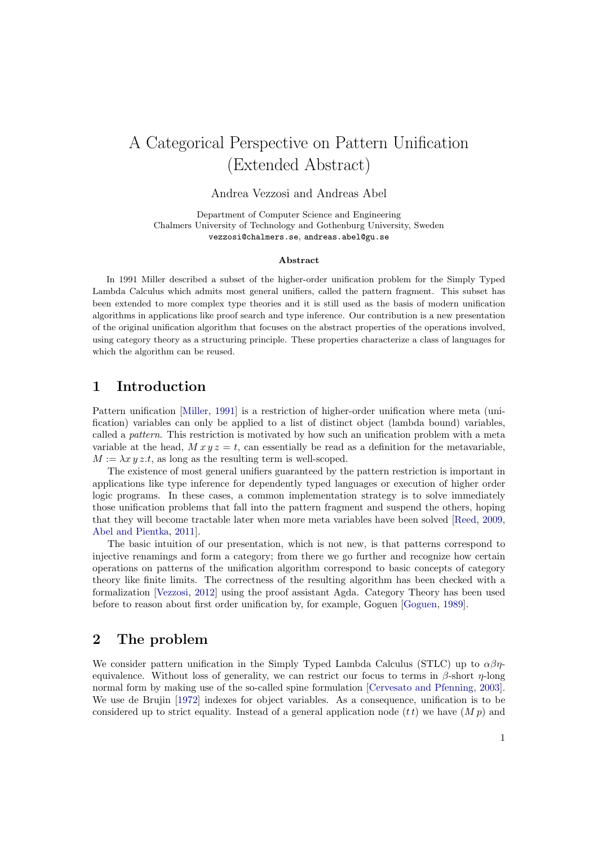# A Categorical Perspective on Pattern Unification (Extended Abstract)

Andrea Vezzosi and Andreas Abel

Department of Computer Science and Engineering Chalmers University of Technology and Gothenburg University, Sweden vezzosi@chalmers.se, andreas.abel@gu.se

#### Abstract

In 1991 Miller described a subset of the higher-order unification problem for the Simply Typed Lambda Calculus which admits most general unifiers, called the pattern fragment. This subset has been extended to more complex type theories and it is still used as the basis of modern unification algorithms in applications like proof search and type inference. Our contribution is a new presentation of the original unification algorithm that focuses on the abstract properties of the operations involved, using category theory as a structuring principle. These properties characterize a class of languages for which the algorithm can be reused.

## 1 Introduction

Pattern unification [\[Miller,](#page-4-0) [1991\]](#page-4-0) is a restriction of higher-order unification where meta (unification) variables can only be applied to a list of distinct object (lambda bound) variables, called a pattern. This restriction is motivated by how such an unification problem with a meta variable at the head,  $Mxy = t$ , can essentially be read as a definition for the metavariable,  $M := \lambda x \, y \, z.t$ , as long as the resulting term is well-scoped.

The existence of most general unifiers guaranteed by the pattern restriction is important in applications like type inference for dependently typed languages or execution of higher order logic programs. In these cases, a common implementation strategy is to solve immediately those unification problems that fall into the pattern fragment and suspend the others, hoping that they will become tractable later when more meta variables have been solved [\[Reed,](#page-4-1) [2009,](#page-4-1) [Abel and Pientka,](#page-4-2) [2011\]](#page-4-2).

The basic intuition of our presentation, which is not new, is that patterns correspond to injective renamings and form a category; from there we go further and recognize how certain operations on patterns of the unification algorithm correspond to basic concepts of category theory like finite limits. The correctness of the resulting algorithm has been checked with a formalization [\[Vezzosi,](#page-4-3) [2012\]](#page-4-3) using the proof assistant Agda. Category Theory has been used before to reason about first order unification by, for example, Goguen [\[Goguen,](#page-4-4) [1989\]](#page-4-4).

## 2 The problem

We consider pattern unification in the Simply Typed Lambda Calculus (STLC) up to  $\alpha\beta\eta$ equivalence. Without loss of generality, we can restrict our focus to terms in  $\beta$ -short  $\eta$ -long normal form by making use of the so-called spine formulation [\[Cervesato and Pfenning,](#page-4-5) [2003\]](#page-4-5). We use de Brujin [\[1972\]](#page-4-6) indexes for object variables. As a consequence, unification is to be considered up to strict equality. Instead of a general application node  $(t t)$  we have  $(M p)$  and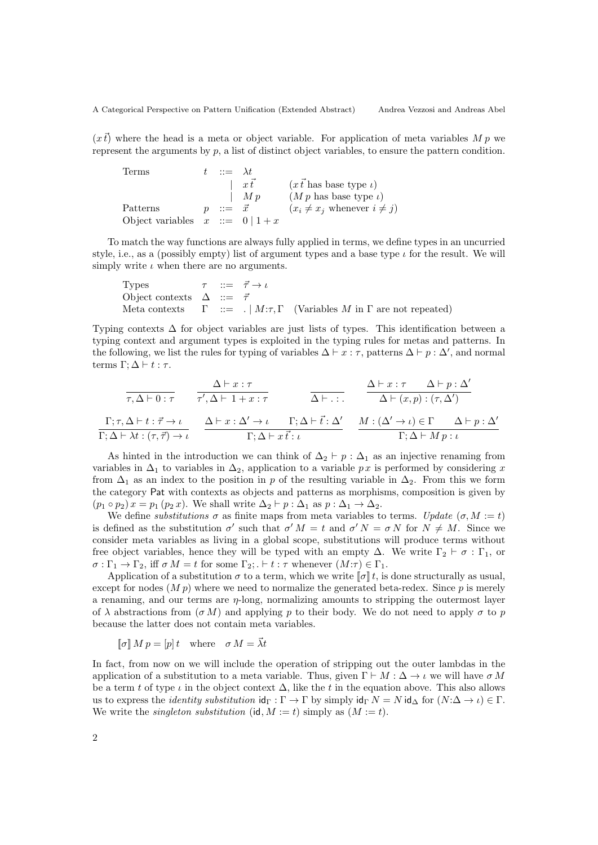$(x\vec{t})$  where the head is a meta or object variable. For application of meta variables M p we represent the arguments by  $p$ , a list of distinct object variables, to ensure the pattern condition.

Terms  $t : := \lambda t$ |  $x\vec{t}$  ( $x\vec{t}$  has base type *ι*) |  $M p$  (*M p* has base type *ι*) Patterns  $p ::= \vec{x}$   $(x_i \neq x_j \text{ whenever } i \neq j)$ Object variables  $x ::= 0 | 1 + x$ 

To match the way functions are always fully applied in terms, we define types in an uncurried style, i.e., as a (possibly empty) list of argument types and a base type  $\iota$  for the result. We will simply write  $\iota$  when there are no arguments.

Types  $\tau$  ::=  $\vec{\tau} \rightarrow \iota$ Object contexts  $\Delta$  ::=  $\bar{\tau}$ Meta contexts  $\Gamma$  ::=  $\left| M:\tau,\Gamma \right|$  (Variables M in  $\Gamma$  are not repeated)

Typing contexts  $\Delta$  for object variables are just lists of types. This identification between a typing context and argument types is exploited in the typing rules for metas and patterns. In the following, we list the rules for typing of variables  $\Delta \vdash x : \tau$ , patterns  $\Delta \vdash p : \Delta'$ , and normal terms Γ;  $\Delta$   $\vdash$  t : τ.

$$
\frac{\Delta\vdash x:\tau}{\tau,\Delta\vdash 0:\tau} \quad \frac{\Delta\vdash x:\tau}{\tau',\Delta\vdash 1+x:\tau} \quad \frac{\Delta\vdash x:\tau}{\Delta\vdash \ldots} \quad \frac{\Delta\vdash x:\tau}{\Delta\vdash (x,p):\tau,\Delta')} \n\frac{\Gamma;\tau,\Delta\vdash t:\vec{\tau}\to\iota}{\Gamma;\Delta\vdash \lambda t:\tau,\vec{\tau}\to\iota} \quad \frac{\Delta\vdash x:\Delta'\to\iota \quad \Gamma;\Delta\vdash \vec{t}:\Delta'}{\Gamma;\Delta\vdash x\,\vec{t}:\iota} \quad \frac{M:(\Delta'\to\iota)\in\Gamma \quad \Delta\vdash p:\Delta'}{\Gamma;\Delta\vdash Mp:\iota}
$$

As hinted in the introduction we can think of  $\Delta_2 \vdash p : \Delta_1$  as an injective renaming from variables in  $\Delta_1$  to variables in  $\Delta_2$ , application to a variable px is performed by considering x from  $\Delta_1$  as an index to the position in p of the resulting variable in  $\Delta_2$ . From this we form the category Pat with contexts as objects and patterns as morphisms, composition is given by  $(p_1 \circ p_2) x = p_1 (p_2 x)$ . We shall write  $\Delta_2 \vdash p : \Delta_1$  as  $p : \Delta_1 \rightarrow \Delta_2$ .

We define substitutions  $\sigma$  as finite maps from meta variables to terms. Update  $(\sigma, M := t)$ is defined as the substitution  $\sigma'$  such that  $\sigma' M = t$  and  $\sigma' N = \sigma N$  for  $N \neq M$ . Since we consider meta variables as living in a global scope, substitutions will produce terms without free object variables, hence they will be typed with an empty  $\Delta$ . We write  $\Gamma_2 \vdash \sigma : \Gamma_1$ , or  $\sigma : \Gamma_1 \to \Gamma_2$ , iff  $\sigma M = t$  for some  $\Gamma_2$ ;  $\vdash t : \tau$  whenever  $(M:\tau) \in \Gamma_1$ .

Application of a substitution  $\sigma$  to a term, which we write  $\llbracket \sigma \rrbracket t$ , is done structurally as usual, except for nodes  $(M p)$  where we need to normalize the generated beta-redex. Since p is merely a renaming, and our terms are  $\eta$ -long, normalizing amounts to stripping the outermost layer of  $\lambda$  abstractions from  $(\sigma M)$  and applying p to their body. We do not need to apply  $\sigma$  to p because the latter does not contain meta variables.

 $[\![\sigma]\!] \, M \, p = [p] \, t \quad \text{where} \quad \sigma \, M = \vec{\lambda} t$ 

In fact, from now on we will include the operation of stripping out the outer lambdas in the application of a substitution to a meta variable. Thus, given  $\Gamma \vdash M : \Delta \to \iota$  we will have  $\sigma M$ be a term t of type  $\iota$  in the object context  $\Delta$ , like the t in the equation above. This also allows us to express the *identity substitution*  $\mathrm{id}_{\Gamma} : \Gamma \to \Gamma$  by simply  $\mathrm{id}_{\Gamma} N = N \mathrm{id}_{\Delta}$  for  $(N:\Delta \to \iota) \in \Gamma$ . We write the *singleton substitution* (id,  $M := t$ ) simply as  $(M := t)$ .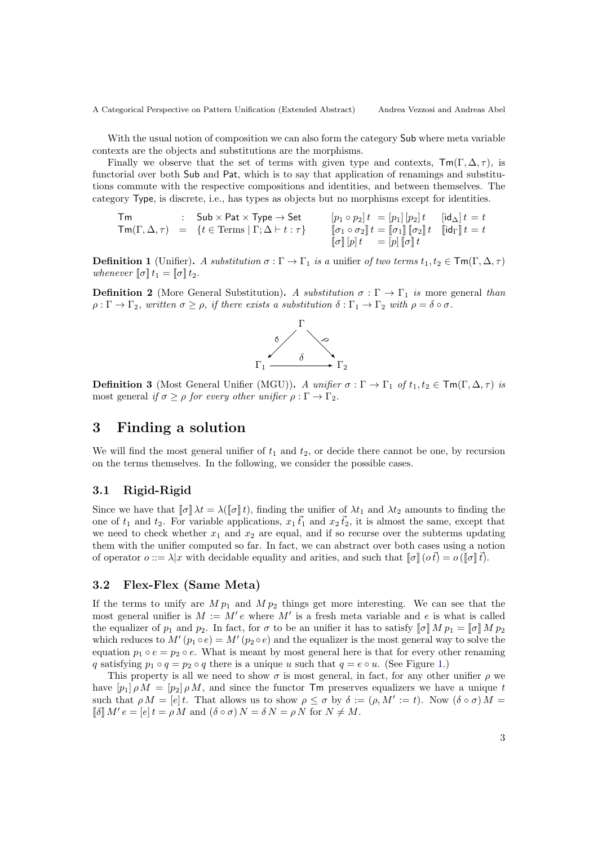A Categorical Perspective on Pattern Unification (Extended Abstract) Andrea Vezzosi and Andreas Abel

With the usual notion of composition we can also form the category Sub where meta variable contexts are the objects and substitutions are the morphisms.

Finally we observe that the set of terms with given type and contexts,  $\textsf{Tm}(\Gamma, \Delta, \tau)$ , is functorial over both Sub and Pat, which is to say that application of renamings and substitutions commute with the respective compositions and identities, and between themselves. The category Type, is discrete, i.e., has types as objects but no morphisms except for identities.

$$
\begin{array}{rcl} \mathsf{Tm} & : & \mathsf{Sub} \times \mathsf{Pat} \times \mathsf{Type} \rightarrow \mathsf{Set} \\ \mathsf{Tm}(\Gamma, \Delta, \tau) & = & \{t \in \mathsf{Terms} \mid \Gamma; \Delta \vdash t : \tau\} \end{array} \qquad \begin{array}{rcl} [p_1 \circ p_2] \, t & = [p_1] \, [p_2] \, t & [ \mathsf{id}_\Delta ] \, t = t \\ \hline [\sigma_1 \circ \sigma_2] \, t & = [\sigma_1] \, [\![\sigma_2]\!] \, t & [ \mathsf{id}_\Gamma ] \, t = t \end{array}
$$

**Definition 1** (Unifier). A substitution  $\sigma : \Gamma \to \Gamma_1$  is a unifier of two terms  $t_1, t_2 \in \text{Tw}(\Gamma, \Delta, \tau)$ whenever  $\llbracket \sigma \rrbracket t_1 = \llbracket \sigma \rrbracket t_2$ .

**Definition 2** (More General Substitution). A substitution  $\sigma : \Gamma \to \Gamma_1$  is more general than  $\rho : \Gamma \to \Gamma_2$ , written  $\sigma \geq \rho$ , if there exists a substitution  $\delta : \Gamma_1 \to \Gamma_2$  with  $\rho = \delta \circ \sigma$ .



**Definition 3** (Most General Unifier (MGU)). A unifier  $\sigma : \Gamma \to \Gamma_1$  of  $t_1, t_2 \in \text{Tm}(\Gamma, \Delta, \tau)$  is most general if  $\sigma \geq \rho$  for every other unifier  $\rho : \Gamma \to \Gamma_2$ .

## 3 Finding a solution

We will find the most general unifier of  $t_1$  and  $t_2$ , or decide there cannot be one, by recursion on the terms themselves. In the following, we consider the possible cases.

#### 3.1 Rigid-Rigid

Since we have that  $[\![\sigma]\!] \lambda t = \lambda([\![\sigma]\!] t)$ , finding the unifier of  $\lambda t_1$  and  $\lambda t_2$  amounts to finding the one of  $t_1$  and  $t_2$ . For variable applications,  $x_1 \vec{t}_1$  and  $x_2 \vec{t}_2$ , it is almost the same, except that we need to check whether  $x_1$  and  $x_2$  are equal, and if so recurse over the subterms updating them with the unifier computed so far. In fact, we can abstract over both cases using a notion of operator  $o ::= \lambda | x$  with decidable equality and arities, and such that  $[\![\sigma]\!](o\vec{t}) = o([\![\sigma]\!](\vec{t}).$ 

#### 3.2 Flex-Flex (Same Meta)

If the terms to unify are  $M p_1$  and  $M p_2$  things get more interesting. We can see that the most general unifier is  $M := M'e$  where M' is a fresh meta variable and e is what is called the equalizer of  $p_1$  and  $p_2$ . In fact, for  $\sigma$  to be an unifier it has to satisfy  $\llbracket \sigma \rrbracket M p_1 = \llbracket \sigma \rrbracket M p_2$ which reduces to  $M'(p_1 \circ e) = M'(p_2 \circ e)$  and the equalizer is the most general way to solve the equation  $p_1 \circ e = p_2 \circ e$ . What is meant by most general here is that for every other renaming q satisfying  $p_1 \circ q = p_2 \circ q$  there is a unique u such that  $q = e \circ u$ . (See Figure [1.](#page-3-0))

This property is all we need to show  $\sigma$  is most general, in fact, for any other unifier  $\rho$  we have  $[p_1] \rho M = [p_2] \rho M$ , and since the functor  $\mathsf{Tm}$  preserves equalizers we have a unique t such that  $\rho M = [e]t$ . That allows us to show  $\rho \leq \sigma$  by  $\delta := (\rho, M' := t)$ . Now  $(\delta \circ \sigma) M =$  $\llbracket \delta \rrbracket M' e = [e] t = \rho M$  and  $(\delta \circ \sigma) N = \delta N = \rho N$  for  $N \neq M$ .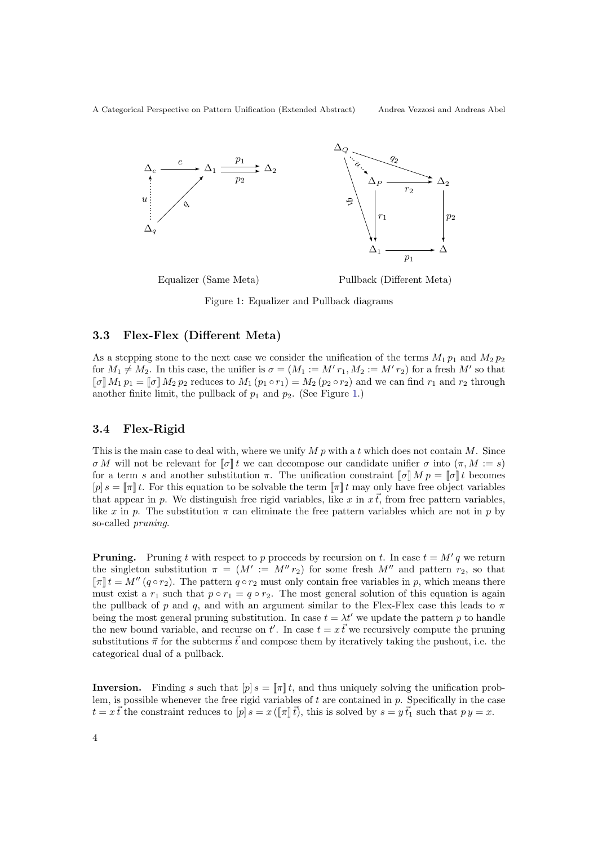A Categorical Perspective on Pattern Unification (Extended Abstract) Andrea Vezzosi and Andreas Abel



<span id="page-3-0"></span>Figure 1: Equalizer and Pullback diagrams

### 3.3 Flex-Flex (Different Meta)

As a stepping stone to the next case we consider the unification of the terms  $M_1 p_1$  and  $M_2 p_2$ for  $M_1 \neq M_2$ . In this case, the unifier is  $\sigma = (M_1 := M' r_1, M_2 := M' r_2)$  for a fresh M' so that  $[\![\sigma]\!] M_1 p_1 = [\![\sigma]\!] M_2 p_2$  reduces to  $M_1 (p_1 \circ r_1) = M_2 (p_2 \circ r_2)$  and we can find  $r_1$  and  $r_2$  through another finite limit, the pullback of  $p_1$  and  $p_2$ . (See Figure [1.](#page-3-0))

#### 3.4 Flex-Rigid

This is the main case to deal with, where we unify  $M p$  with a t which does not contain  $M$ . Since σ M will not be relevant for  $\llbracket \sigma \rrbracket t$  we can decompose our candidate unifier σ into  $(\pi, M := s)$ for a term s and another substitution  $\pi$ . The unification constraint  $\llbracket \sigma \rrbracket M p = \llbracket \sigma \rrbracket t$  becomes  $[p] s = \llbracket \pi \rrbracket t$ . For this equation to be solvable the term  $\llbracket \pi \rrbracket t$  may only have free object variables that appear in p. We distinguish free rigid variables, like x in  $x\vec{t}$ , from free pattern variables, like x in p. The substitution  $\pi$  can eliminate the free pattern variables which are not in p by so-called pruning.

**Pruning.** Pruning t with respect to p proceeds by recursion on t. In case  $t = M'q$  we return the singleton substitution  $\pi = (M' := M'' r_2)$  for some fresh M'' and pattern  $r_2$ , so that  $[\![\pi]\!]t = M''(q \circ r_2)$ . The pattern  $q \circ r_2$  must only contain free variables in p, which means there must exist a  $r_1$  such that  $p \circ r_1 = q \circ r_2$ . The most general solution of this equation is again the pullback of p and q, and with an argument similar to the Flex-Flex case this leads to  $\pi$ being the most general pruning substitution. In case  $t = \lambda t'$  we update the pattern p to handle the new bound variable, and recurse on t'. In case  $t = x \vec{t}$  we recursively compute the pruning substitutions  $\vec{\pi}$  for the subterms  $\vec{t}$  and compose them by iteratively taking the pushout, i.e. the categorical dual of a pullback.

**Inversion.** Finding s such that  $[p] s = [\![\pi]\!] t$ , and thus uniquely solving the unification problem, is possible whenever the free rigid variables of  $t$  are contained in  $p$ . Specifically in the case  $t = x\vec{t}$  the constraint reduces to  $[p] s = x(\llbracket \pi \rrbracket \vec{t})$ , this is solved by  $s = y \vec{t}_1$  such that  $py = x$ .